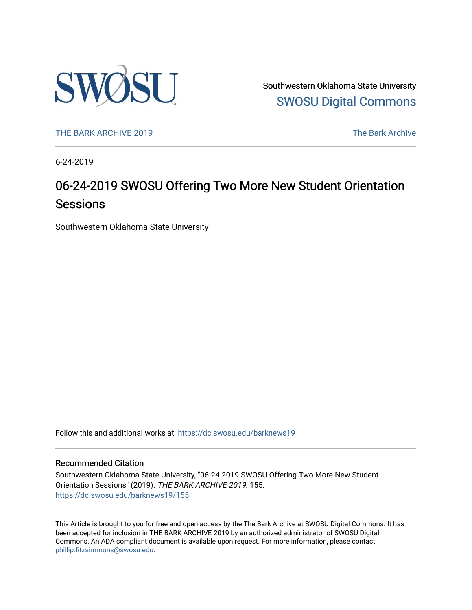

Southwestern Oklahoma State University [SWOSU Digital Commons](https://dc.swosu.edu/) 

[THE BARK ARCHIVE 2019](https://dc.swosu.edu/barknews19) The Bark Archive

6-24-2019

### 06-24-2019 SWOSU Offering Two More New Student Orientation Sessions

Southwestern Oklahoma State University

Follow this and additional works at: [https://dc.swosu.edu/barknews19](https://dc.swosu.edu/barknews19?utm_source=dc.swosu.edu%2Fbarknews19%2F155&utm_medium=PDF&utm_campaign=PDFCoverPages)

#### Recommended Citation

Southwestern Oklahoma State University, "06-24-2019 SWOSU Offering Two More New Student Orientation Sessions" (2019). THE BARK ARCHIVE 2019. 155. [https://dc.swosu.edu/barknews19/155](https://dc.swosu.edu/barknews19/155?utm_source=dc.swosu.edu%2Fbarknews19%2F155&utm_medium=PDF&utm_campaign=PDFCoverPages)

This Article is brought to you for free and open access by the The Bark Archive at SWOSU Digital Commons. It has been accepted for inclusion in THE BARK ARCHIVE 2019 by an authorized administrator of SWOSU Digital Commons. An ADA compliant document is available upon request. For more information, please contact [phillip.fitzsimmons@swosu.edu](mailto:phillip.fitzsimmons@swosu.edu).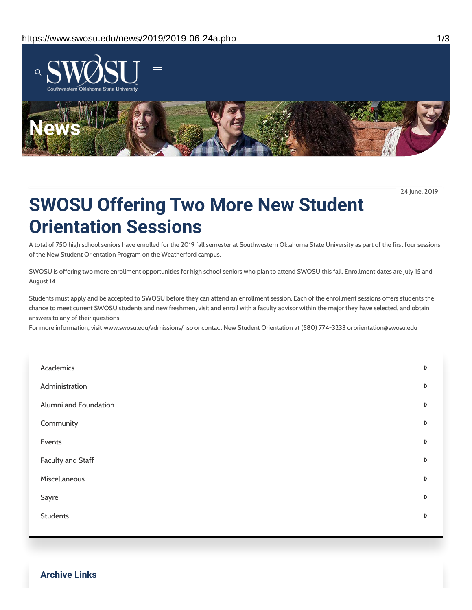

24 June, 2019

## **SWOSU Offering Two More New Student Orientation Sessions**

A total of 750 high school seniors have enrolled for the 2019 fall semester at Southwestern Oklahoma State University as part of the first four sessions of the New Student Orientation Program on the Weatherford campus.

SWOSU is offering two more enrollment opportunities for high school seniors who plan to attend SWOSU this fall. Enrollment dates are July 15 and August 14.

Students must apply and be accepted to SWOSU before they can attend an enrollment session. Each of the enrollment sessions offers students the chance to meet current SWOSU students and new freshmen, visit and enroll with a faculty advisor within the major they have selected, and obtain answers to any of their questions.

For more information, visit www.swosu.edu/admissions/nso or contact New Student Orientation at (580) 774-3233 ororientation@swosu.edu

| Academics             | $\triangleright$ |
|-----------------------|------------------|
| Administration        | $\mathsf D$      |
| Alumni and Foundation | D                |
| Community             | $\mathsf D$      |
| Events                | D                |
| Faculty and Staff     | D                |
| Miscellaneous         | D                |
| Sayre                 | D                |
| <b>Students</b>       | $\triangleright$ |
|                       |                  |

**Archive Links**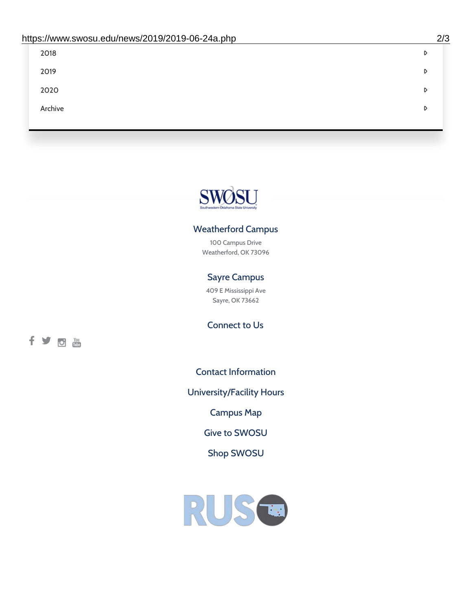| 2018    | D |
|---------|---|
| 2019    | D |
| 2020    | D |
| Archive | D |
|         |   |

# SWØSU

### Weatherford Campus

100 Campus Drive Weatherford, OK 73096

### Sayre Campus

409 E Mississippi Ave Sayre, OK 73662

fyom

Connect to Us

Contact [Information](https://www.swosu.edu/about/contact.php)

[University/Facility](https://www.swosu.edu/about/operating-hours.php) Hours

[Campus](https://map.concept3d.com/?id=768#!ct/10964,10214,10213,10212,10205,10204,10203,10202,10136,10129,10128,0,31226,10130,10201,10641,0) Map

Give to [SWOSU](https://standingfirmly.com/donate)

Shop [SWOSU](https://shopswosu.merchorders.com/)